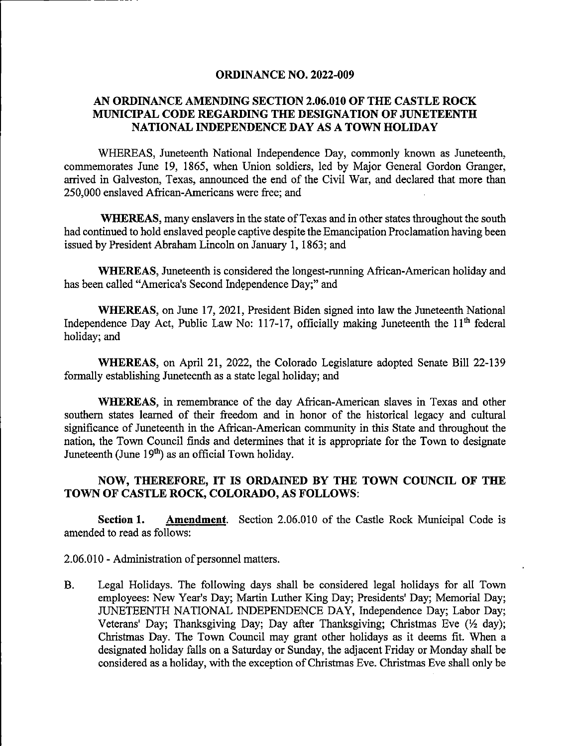## ORDINANCE NO. 2022-009

## AN ORDINANCE AMENDING SECTION 2.06.010 OF THE CASTLE ROCK MUNICIPAL CODE REGARDING THE DESIGNATION OF JUNETEENTH NATIONAL INDEPENDENCE DAY AS A TOWN HOLIDAY

WHEREAS, Juneteenth National Independence Day, commonly known as Juneteenth, commemorates June 19, 1865, when Union soldiers, led by Major General Gordon Granger, arrived in Galveston, Texas, announced the end of the Civil War, and declared that more than 250,000 enslaved African-Americans were free; and

WHEREAS, many enslavers in the state of Texas and in other states throughout the south had continued to hold enslaved people captive despite the Emancipation Proclamation having been issued by President Abraham Lincoln on January 1,1863; and

WHEREAS, Juneteenth is considered the longest-running African-American holiday and has been called "America's Second Independence Day;" and

WHEREAS, on June 17, 2021, President Biden signed into law the Juneteenth National Independence Day Act, Public Law No: 117-17, officially making Juneteenth the  $11<sup>th</sup>$  federal holiday; and

WHEREAS, on April 21, 2022, the Colorado Legislature adopted Senate Bill 22-139 formally establishing Juneteenth as a state legal holiday; and

WHEREAS, in remembrance of the day African-American slaves in Texas and other southern states learned of their freedom and in honor of the historical legacy and cultural significance of Juneteenth in the African-American community in this State and throughout the nation, the Town Council finds and determines that it is appropriate for the Town to designate Juneteenth (June  $19<sup>th</sup>$ ) as an official Town holiday.

## NOW, THEREFORE, IT IS ORDAINED BY THE TOWN COUNCIL OF THE TOWN OF CASTLE ROCK, COLORADO, AS FOLLOWS:

Section 1. Amendment. Section 2.06.010 of the Castle Rock Municipal Code is amended to read as follows:

2.06.010 - Administration of personnel matters.

B. Legal Holidays. The following days shall be considered legal holidays for all Town employees: New Year's Day; Martin Luther King Day; Presidents' Day; Memorial Day; JUNETEENTH NATIONAL INDEPENDENCE DAY, Independence Day; Labor Day; Veterans' Day; Thanksgiving Day; Day after Thanksgiving; Christmas Eve  $(\frac{1}{2} \text{ day})$ ; Christmas Day. The Town Council may grant other holidays as it deems fit. When a designated holiday falls on a Saturday or Sunday, the adjacent Friday or Monday shall be considered as a holiday, with the exception of Christmas Eve. Christmas Eve shall only be